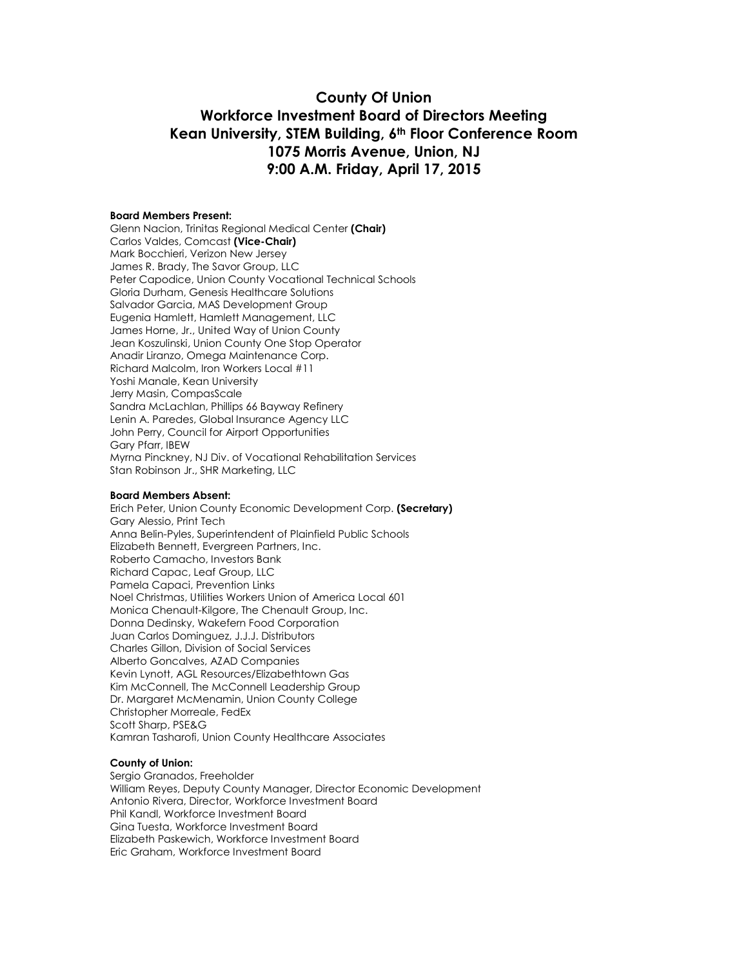# **County Of Union Workforce Investment Board of Directors Meeting Kean University, STEM Building, 6th Floor Conference Room 1075 Morris Avenue, Union, NJ 9:00 A.M. Friday, April 17, 2015**

#### **Board Members Present:**

Glenn Nacion, Trinitas Regional Medical Center **(Chair)** Carlos Valdes, Comcast **(Vice-Chair)** Mark Bocchieri, Verizon New Jersey James R. Brady, The Savor Group, LLC Peter Capodice, Union County Vocational Technical Schools Gloria Durham, Genesis Healthcare Solutions Salvador Garcia, MAS Development Group Eugenia Hamlett, Hamlett Management, LLC James Horne, Jr., United Way of Union County Jean Koszulinski, Union County One Stop Operator Anadir Liranzo, Omega Maintenance Corp. Richard Malcolm, Iron Workers Local #11 Yoshi Manale, Kean University Jerry Masin, CompasScale Sandra McLachlan, Phillips 66 Bayway Refinery Lenin A. Paredes, Global Insurance Agency LLC John Perry, Council for Airport Opportunities Gary Pfarr, IBEW Myrna Pinckney, NJ Div. of Vocational Rehabilitation Services Stan Robinson Jr., SHR Marketing, LLC

#### **Board Members Absent:**

Erich Peter, Union County Economic Development Corp. **(Secretary)** Gary Alessio, Print Tech Anna Belin-Pyles, Superintendent of Plainfield Public Schools Elizabeth Bennett, Evergreen Partners, Inc. Roberto Camacho, Investors Bank Richard Capac, Leaf Group, LLC Pamela Capaci, Prevention Links Noel Christmas, Utilities Workers Union of America Local 601 Monica Chenault-Kilgore, The Chenault Group, Inc. Donna Dedinsky, Wakefern Food Corporation Juan Carlos Dominguez, J.J.J. Distributors Charles Gillon, Division of Social Services Alberto Goncalves, AZAD Companies Kevin Lynott, AGL Resources/Elizabethtown Gas Kim McConnell, The McConnell Leadership Group Dr. Margaret McMenamin, Union County College Christopher Morreale, FedEx Scott Sharp, PSE&G Kamran Tasharofi, Union County Healthcare Associates

#### **County of Union:**

Sergio Granados, Freeholder William Reyes, Deputy County Manager, Director Economic Development Antonio Rivera, Director, Workforce Investment Board Phil Kandl, Workforce Investment Board Gina Tuesta, Workforce Investment Board Elizabeth Paskewich, Workforce Investment Board Eric Graham, Workforce Investment Board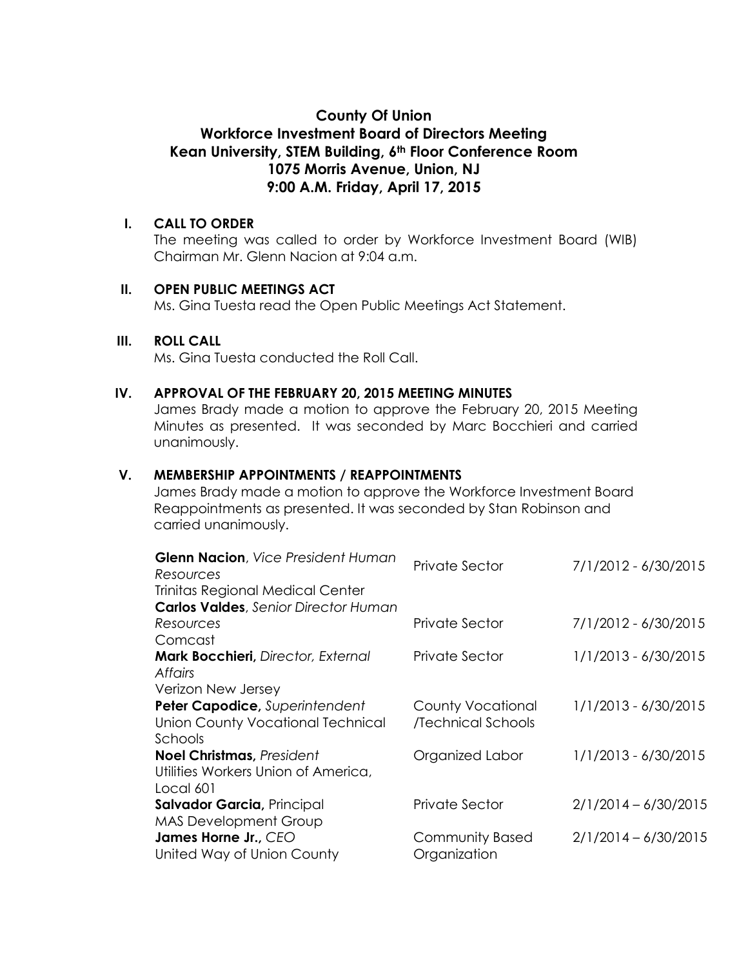# **County Of Union**

# **Workforce Investment Board of Directors Meeting Kean University, STEM Building, 6th Floor Conference Room 1075 Morris Avenue, Union, NJ 9:00 A.M. Friday, April 17, 2015**

#### **I. CALL TO ORDER**

The meeting was called to order by Workforce Investment Board (WIB) Chairman Mr. Glenn Nacion at 9:04 a.m.

### **II. OPEN PUBLIC MEETINGS ACT**

Ms. Gina Tuesta read the Open Public Meetings Act Statement.

### **III. ROLL CALL**

Ms. Gina Tuesta conducted the Roll Call.

#### **IV. APPROVAL OF THE FEBRUARY 20, 2015 MEETING MINUTES**

James Brady made a motion to approve the February 20, 2015 Meeting Minutes as presented. It was seconded by Marc Bocchieri and carried unanimously.

### **V. MEMBERSHIP APPOINTMENTS / REAPPOINTMENTS**

James Brady made a motion to approve the Workforce Investment Board Reappointments as presented. It was seconded by Stan Robinson and carried unanimously.

| <b>Glenn Nacion</b> , Vice President Human<br>Resources | Private Sector           | 7/1/2012 - 6/30/2015   |
|---------------------------------------------------------|--------------------------|------------------------|
| Trinitas Regional Medical Center                        |                          |                        |
| <b>Carlos Valdes</b> , Senior Director Human            |                          |                        |
| Resources                                               | Private Sector           | 7/1/2012 - 6/30/2015   |
| Comcast                                                 |                          |                        |
| <b>Mark Bocchieri</b> , Director, External              | Private Sector           | 1/1/2013 - 6/30/2015   |
| <b>Affairs</b>                                          |                          |                        |
| Verizon New Jersey                                      |                          |                        |
| Peter Capodice, Superintendent                          | <b>County Vocational</b> | 1/1/2013 - 6/30/2015   |
| <b>Union County Vocational Technical</b>                | /Technical Schools       |                        |
| Schools                                                 |                          |                        |
| <b>Noel Christmas, President</b>                        | Organized Labor          | 1/1/2013 - 6/30/2015   |
| Utilities Workers Union of America,                     |                          |                        |
| Local 601                                               |                          |                        |
| Salvador Garcia, Principal                              | Private Sector           | $2/1/2014 - 6/30/2015$ |
| <b>MAS Development Group</b>                            |                          |                        |
| James Horne Jr., CEO                                    | <b>Community Based</b>   | $2/1/2014 - 6/30/2015$ |
| United Way of Union County                              | Organization             |                        |
|                                                         |                          |                        |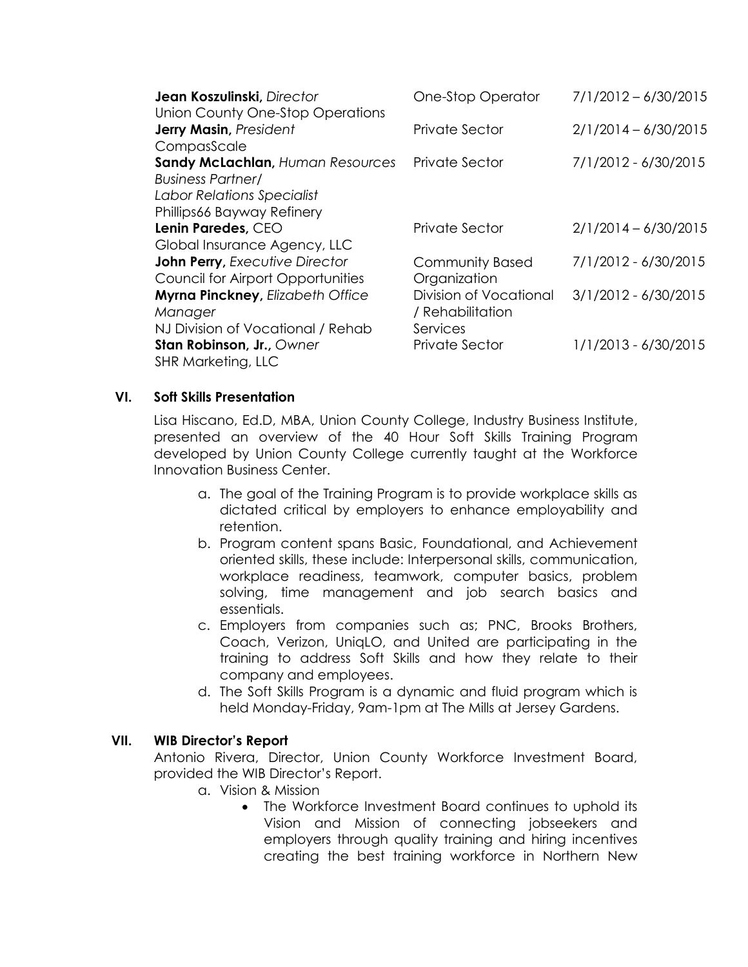| <b>One-Stop Operator</b> | $7/1/2012 - 6/30/2015$ |
|--------------------------|------------------------|
|                          |                        |
| Private Sector           | $2/1/2014 - 6/30/2015$ |
|                          |                        |
| Private Sector           | 7/1/2012 - 6/30/2015   |
|                          |                        |
|                          |                        |
|                          |                        |
| Private Sector           | $2/1/2014 - 6/30/2015$ |
|                          |                        |
| <b>Community Based</b>   | 7/1/2012 - 6/30/2015   |
| Organization             |                        |
| Division of Vocational   | 3/1/2012 - 6/30/2015   |
| / Rehabilitation         |                        |
| Services                 |                        |
| <b>Private Sector</b>    | 1/1/2013 - 6/30/2015   |
|                          |                        |
|                          |                        |

## **VI. Soft Skills Presentation**

Lisa Hiscano, Ed.D, MBA, Union County College, Industry Business Institute, presented an overview of the 40 Hour Soft Skills Training Program developed by Union County College currently taught at the Workforce Innovation Business Center.

- a. The goal of the Training Program is to provide workplace skills as dictated critical by employers to enhance employability and retention.
- b. Program content spans Basic, Foundational, and Achievement oriented skills, these include: Interpersonal skills, communication, workplace readiness, teamwork, computer basics, problem solving, time management and job search basics and essentials.
- c. Employers from companies such as; PNC, Brooks Brothers, Coach, Verizon, UniqLO, and United are participating in the training to address Soft Skills and how they relate to their company and employees.
- d. The Soft Skills Program is a dynamic and fluid program which is held Monday-Friday, 9am-1pm at The Mills at Jersey Gardens.

## **VII. WIB Director's Report**

Antonio Rivera, Director, Union County Workforce Investment Board, provided the WIB Director's Report.

- a. Vision & Mission
	- The Workforce Investment Board continues to uphold its Vision and Mission of connecting jobseekers and employers through quality training and hiring incentives creating the best training workforce in Northern New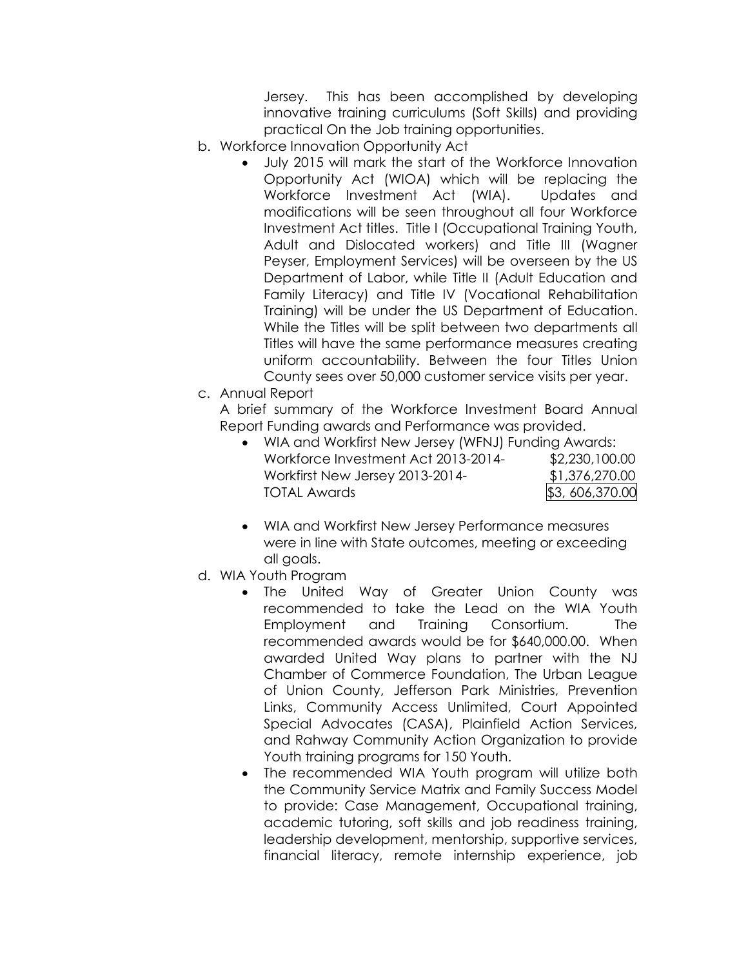Jersey. This has been accomplished by developing innovative training curriculums (Soft Skills) and providing practical On the Job training opportunities.

- b. Workforce Innovation Opportunity Act
	- July 2015 will mark the start of the Workforce Innovation Opportunity Act (WIOA) which will be replacing the Workforce Investment Act (WIA). Updates and modifications will be seen throughout all four Workforce Investment Act titles. Title I (Occupational Training Youth, Adult and Dislocated workers) and Title III (Wagner Peyser, Employment Services) will be overseen by the US Department of Labor, while Title II (Adult Education and Family Literacy) and Title IV (Vocational Rehabilitation Training) will be under the US Department of Education. While the Titles will be split between two departments all Titles will have the same performance measures creating uniform accountability. Between the four Titles Union County sees over 50,000 customer service visits per year.
- c. Annual Report

A brief summary of the Workforce Investment Board Annual Report Funding awards and Performance was provided.

|                                     | • WIA and Workfirst New Jersey (WFNJ) Funding Awards: |  |
|-------------------------------------|-------------------------------------------------------|--|
| Workforce Investment Act 2013-2014- | \$2,230,100.00                                        |  |
| Workfirst New Jersey 2013-2014-     | \$1,376,270.00                                        |  |
| <b>TOTAL Awards</b>                 | \$3,606,370.00                                        |  |

- WIA and Workfirst New Jersey Performance measures were in line with State outcomes, meeting or exceeding all goals.
- d. WIA Youth Program
	- The United Way of Greater Union County was recommended to take the Lead on the WIA Youth Employment and Training Consortium. The recommended awards would be for \$640,000.00. When awarded United Way plans to partner with the NJ Chamber of Commerce Foundation, The Urban League of Union County, Jefferson Park Ministries, Prevention Links, Community Access Unlimited, Court Appointed Special Advocates (CASA), Plainfield Action Services, and Rahway Community Action Organization to provide Youth training programs for 150 Youth.
	- The recommended WIA Youth program will utilize both the Community Service Matrix and Family Success Model to provide: Case Management, Occupational training, academic tutoring, soft skills and job readiness training, leadership development, mentorship, supportive services, financial literacy, remote internship experience, job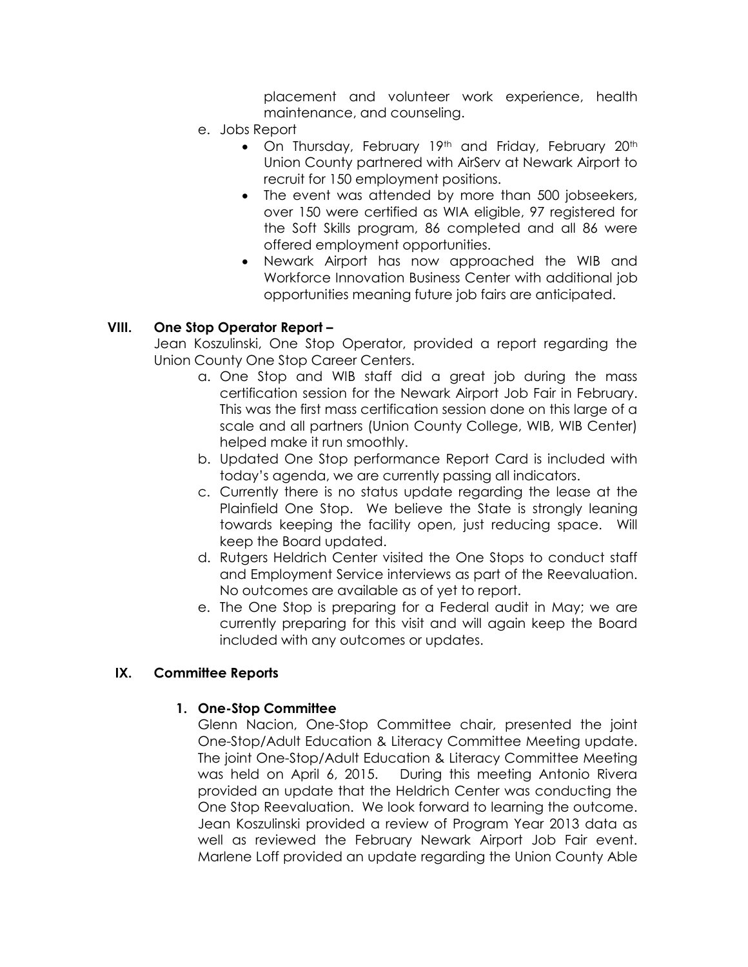placement and volunteer work experience, health maintenance, and counseling.

- e. Jobs Report
	- On Thursday, February 19th and Friday, February 20th Union County partnered with AirServ at Newark Airport to recruit for 150 employment positions.
	- The event was attended by more than 500 jobseekers, over 150 were certified as WIA eligible, 97 registered for the Soft Skills program, 86 completed and all 86 were offered employment opportunities.
	- Newark Airport has now approached the WIB and Workforce Innovation Business Center with additional job opportunities meaning future job fairs are anticipated.

### **VIII. One Stop Operator Report –**

Jean Koszulinski, One Stop Operator, provided a report regarding the Union County One Stop Career Centers.

- a. One Stop and WIB staff did a great job during the mass certification session for the Newark Airport Job Fair in February. This was the first mass certification session done on this large of a scale and all partners (Union County College, WIB, WIB Center) helped make it run smoothly.
- b. Updated One Stop performance Report Card is included with today's agenda, we are currently passing all indicators.
- c. Currently there is no status update regarding the lease at the Plainfield One Stop. We believe the State is strongly leaning towards keeping the facility open, just reducing space. Will keep the Board updated.
- d. Rutgers Heldrich Center visited the One Stops to conduct staff and Employment Service interviews as part of the Reevaluation. No outcomes are available as of yet to report.
- e. The One Stop is preparing for a Federal audit in May; we are currently preparing for this visit and will again keep the Board included with any outcomes or updates.

#### **IX. Committee Reports**

#### **1. One-Stop Committee**

Glenn Nacion, One-Stop Committee chair, presented the joint One-Stop/Adult Education & Literacy Committee Meeting update. The joint One-Stop/Adult Education & Literacy Committee Meeting was held on April 6, 2015. During this meeting Antonio Rivera provided an update that the Heldrich Center was conducting the One Stop Reevaluation. We look forward to learning the outcome. Jean Koszulinski provided a review of Program Year 2013 data as well as reviewed the February Newark Airport Job Fair event. Marlene Loff provided an update regarding the Union County Able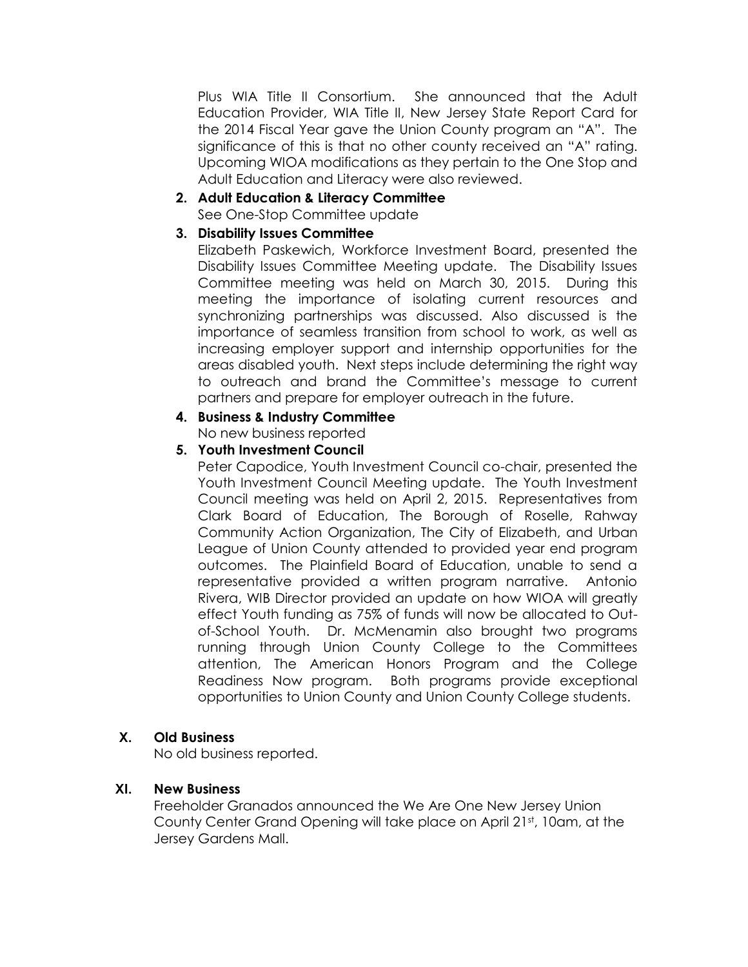Plus WIA Title II Consortium. She announced that the Adult Education Provider, WIA Title II, New Jersey State Report Card for the 2014 Fiscal Year gave the Union County program an "A". The significance of this is that no other county received an "A" rating. Upcoming WIOA modifications as they pertain to the One Stop and Adult Education and Literacy were also reviewed.

#### **2. Adult Education & Literacy Committee** See One-Stop Committee update

## **3. Disability Issues Committee**

Elizabeth Paskewich, Workforce Investment Board, presented the Disability Issues Committee Meeting update. The Disability Issues Committee meeting was held on March 30, 2015. During this meeting the importance of isolating current resources and synchronizing partnerships was discussed. Also discussed is the importance of seamless transition from school to work, as well as increasing employer support and internship opportunities for the areas disabled youth. Next steps include determining the right way to outreach and brand the Committee's message to current partners and prepare for employer outreach in the future.

#### **4. Business & Industry Committee** No new business reported

# **5. Youth Investment Council**

Peter Capodice, Youth Investment Council co-chair, presented the Youth Investment Council Meeting update. The Youth Investment Council meeting was held on April 2, 2015. Representatives from Clark Board of Education, The Borough of Roselle, Rahway Community Action Organization, The City of Elizabeth, and Urban League of Union County attended to provided year end program outcomes. The Plainfield Board of Education, unable to send a representative provided a written program narrative. Antonio Rivera, WIB Director provided an update on how WIOA will greatly effect Youth funding as 75% of funds will now be allocated to Outof-School Youth. Dr. McMenamin also brought two programs running through Union County College to the Committees attention, The American Honors Program and the College Readiness Now program. Both programs provide exceptional opportunities to Union County and Union County College students.

## **X. Old Business**

No old business reported.

## **XI. New Business**

Freeholder Granados announced the We Are One New Jersey Union County Center Grand Opening will take place on April 21st, 10am, at the Jersey Gardens Mall.